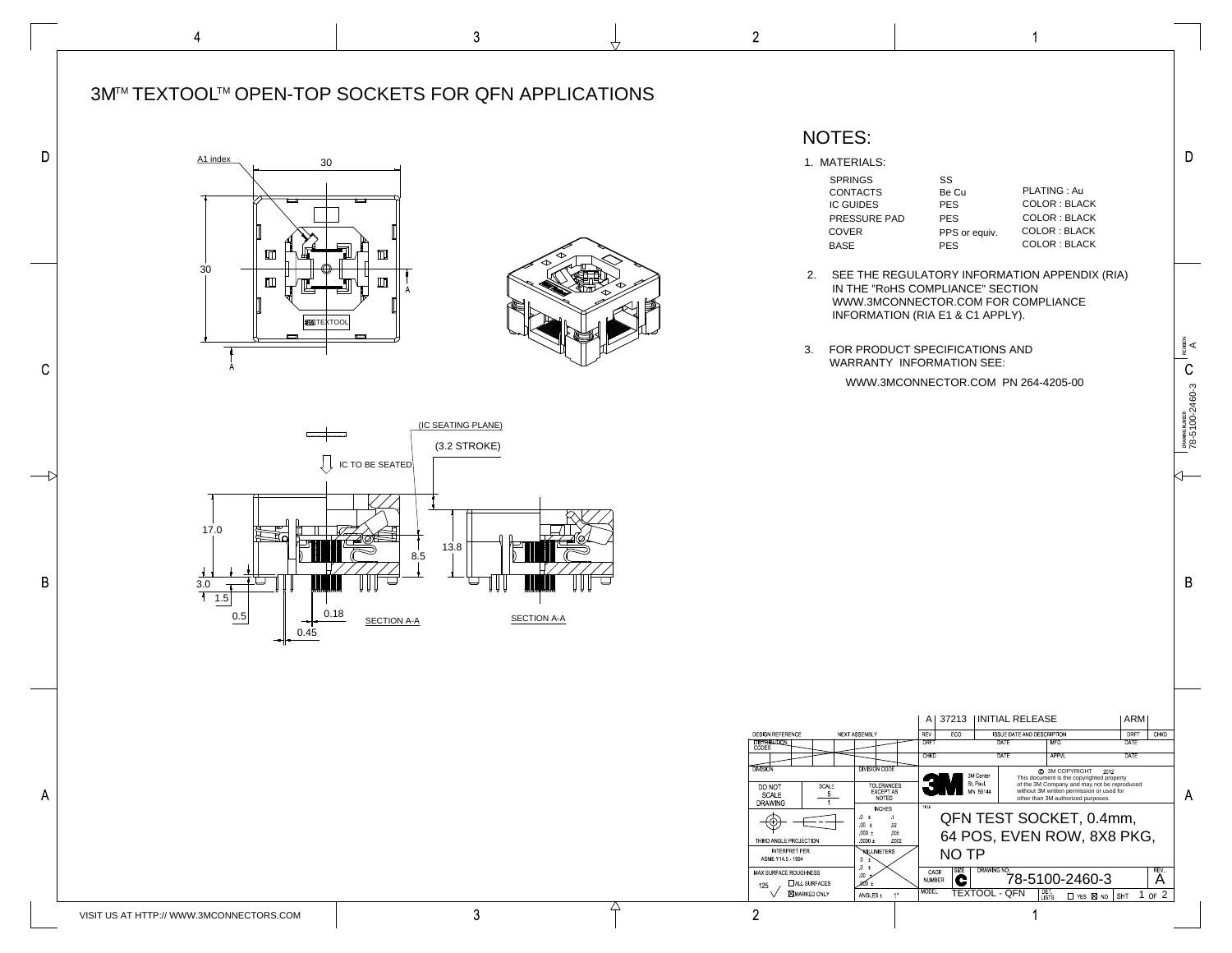| <b>SPRINGS</b>      | SS            |                     |
|---------------------|---------------|---------------------|
| <b>CONTACTS</b>     | Be Cu         | <b>PLATING: Au</b>  |
| <b>IC GUIDES</b>    | <b>PES</b>    | <b>COLOR: BLACK</b> |
| <b>PRESSURE PAD</b> | <b>PES</b>    | <b>COLOR: BLACK</b> |
| <b>COVER</b>        | PPS or equiv. | <b>COLOR: BLACK</b> |
| <b>BASE</b>         | <b>PFS</b>    | <b>COLOR: BLACK</b> |

 $\blacktriangleleft$ 

1. MATERIALS:

2. SEE THE REGULATORY INFORMATION APPENDIX (RIA) IN THE "RoHS COMPLIANCE" SECTION WWW.3MCONNECTOR.COM FOR COMPLIANCE INFORMATION (RIA E1 & C1 APPLY).

|                                                                                                                                                      |                                                                                                                                                                                                                                        | <u>。</u><br>ᇰᇄ<br><u>. 20 T</u><br>ℸ∠∪                                                                                                                                                                                                                                                                                                                                  | DRAWING NUMBER<br>78-5100-2460-3 |
|------------------------------------------------------------------------------------------------------------------------------------------------------|----------------------------------------------------------------------------------------------------------------------------------------------------------------------------------------------------------------------------------------|-------------------------------------------------------------------------------------------------------------------------------------------------------------------------------------------------------------------------------------------------------------------------------------------------------------------------------------------------------------------------|----------------------------------|
|                                                                                                                                                      |                                                                                                                                                                                                                                        |                                                                                                                                                                                                                                                                                                                                                                         | B                                |
| DESIGN REFERENCE<br><b>DISTRIBUTION</b><br>CODES                                                                                                     | NEXT ASSEMBLY                                                                                                                                                                                                                          | 37213<br><b>INITIAL RELEASE</b><br><b>ARM</b><br>Α<br>REV<br>CHKD<br>ECO<br>DRFT<br>ISSUE DATE AND DESCRIPTION<br><b>DRFT</b><br><b>DATE</b><br><b>MFG</b><br><b>DATE</b><br><b>DATE</b><br><b>APPVL</b><br><b>DATE</b><br><b>CHKD</b>                                                                                                                                  |                                  |
| <b>DIVISION</b><br>SCALE<br>DO NOT<br>$\overline{5}$<br>SCALE<br><b>DRAWING</b><br>THIRD ANGLE PROJECTION<br><b>INTERPRET PER</b><br>ASME Y14 5 1994 | <b>DIVISION CODE</b><br><b>TOLERANCES</b><br><b>EXCEPT AS</b><br><b>NOTED</b><br><b>INCHES</b><br>$0 \pm$<br>$\cdot$ 1<br>02<br>$00 \pm$<br>$.000 \pm$<br>005<br>$.0000 \pm$<br>0002<br>NULLIMETERS<br>0<br>$\pm$<br>$\mathbf{0}$<br>土 | C 3M COPYRIGHT<br>2012<br>3M Center<br>This document is the copyrighted property<br>St Paul,<br>of the 3M Company and may not be reproduced<br>without 3M written permission or used for<br>MN 55144<br>other than 3M authorized purposes.<br><b>TITLE</b><br>QFN TEST SOCKET, 0.4mm,<br>64 POS, EVEN ROW, 8X8 PKG,<br><b>NO TP</b><br>REV<br><b>SIZE</b><br>DRAWING NO | A                                |
| MAX SURFACE ROUGHNESS<br>$\Box$ ALL SURFACES<br>125<br><b>MARKED ONLY</b>                                                                            | $00\,$<br>.000 ±<br>$1^{\circ}$<br>ANGLES $\pm$                                                                                                                                                                                        | CAGE<br>78-5100-2460-3<br>A<br>C<br><b>NUMBER</b><br><b>MODEL</b><br>DET<br>LISTS<br><b>TEXTOOL - QFN</b><br>$1$ of $2$<br>$\Box$ YES $\boxtimes$ NO<br>SHT                                                                                                                                                                                                             |                                  |

## NOTES:



3. FOR PRODUCT SPECIFICATIONS AND WARRANTY INFORMATION SEE:

WWW.3MCONNECTOR.COM PN 264-4205-00

REVISION

 $\mathsf C$ 

 $\mathsf{D}$ 

 $4^{\circ}$